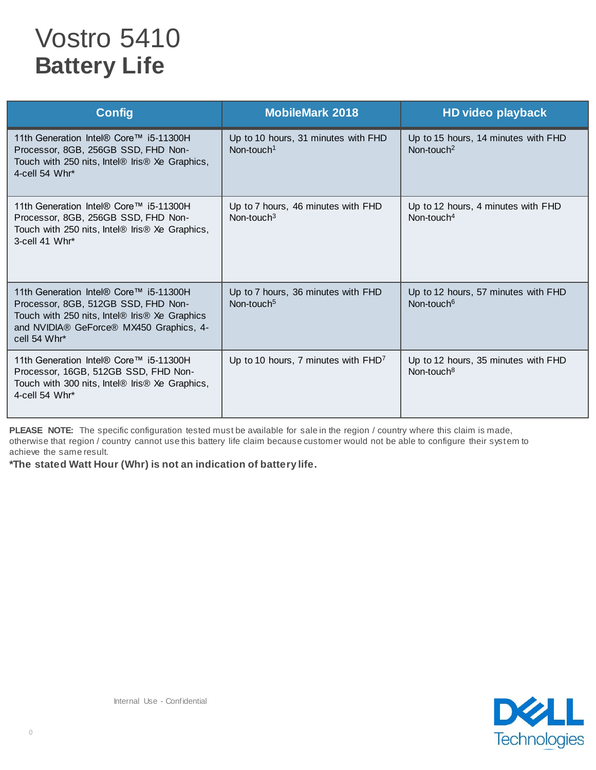## Vostro 5410 **Battery Life**

| <b>Config</b>                                                                                                                                                                             | <b>MobileMark 2018</b>                                        | HD video playback                                             |
|-------------------------------------------------------------------------------------------------------------------------------------------------------------------------------------------|---------------------------------------------------------------|---------------------------------------------------------------|
| 11th Generation Intel® Core™ i5-11300H<br>Processor, 8GB, 256GB SSD, FHD Non-<br>Touch with 250 nits, Intel® Iris® Xe Graphics,<br>4-cell 54 Whr*                                         | Up to 10 hours, 31 minutes with FHD<br>Non-touch <sup>1</sup> | Up to 15 hours, 14 minutes with FHD<br>Non-touch <sup>2</sup> |
| 11th Generation Intel® Core™ i5-11300H<br>Processor, 8GB, 256GB SSD, FHD Non-<br>Touch with 250 nits, Intel® Iris® Xe Graphics,<br>3-cell 41 Whr*                                         | Up to 7 hours, 46 minutes with FHD<br>Non-touch $3$           | Up to 12 hours, 4 minutes with FHD<br>Non-touch $4$           |
| 11th Generation Intel® Core™ i5-11300H<br>Processor, 8GB, 512GB SSD, FHD Non-<br>Touch with 250 nits, Intel® Iris® Xe Graphics<br>and NVIDIA® GeForce® MX450 Graphics, 4-<br>cell 54 Whr* | Up to 7 hours, 36 minutes with FHD<br>Non-touch <sup>5</sup>  | Up to 12 hours, 57 minutes with FHD<br>Non-touch <sup>6</sup> |
| 11th Generation Intel® Core™ i5-11300H<br>Processor, 16GB, 512GB SSD, FHD Non-<br>Touch with 300 nits, Intel® Iris® Xe Graphics,<br>4-cell 54 Whr*                                        | Up to 10 hours, 7 minutes with FHD <sup>7</sup>               | Up to 12 hours, 35 minutes with FHD<br>Non-touch <sup>8</sup> |

PLEASE NOTE: The specific configuration tested must be available for sale in the region / country where this claim is made, otherwise that region / country cannot use this battery life claim because customer would not be able to configure their system to achieve the same result.

**\*The stated Watt Hour (Whr) is not an indication of battery life.**

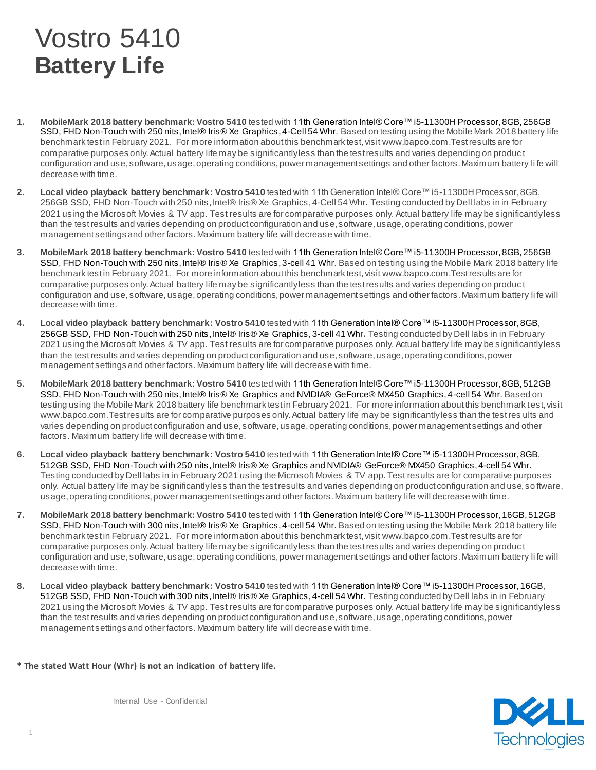## Vostro 5410 **Battery Life**

- **1. MobileMark 2018 battery benchmark: Vostro 5410** tested with 11th Generation Intel® Core™ i5-11300H Processor, 8GB, 256GB SSD, FHD Non-Touch with 250 nits, Intel® Iris® Xe Graphics, 4-Cell 54 Whr. Based on testing using the Mobile Mark 2018 battery life benchmark test in February 2021. For more information about this benchmark test, visit www.bapco.com.Test results are for comparative purposes only. Actual battery life may be significantly less than the test results and varies depending on produc t configuration and use, software, usage, operating conditions, power management settings and other factors. Maximum battery li fe will decrease with time.
- **2. Local video playback battery benchmark: Vostro 5410** tested with 11th Generation Intel® Core™ i5-11300H Processor, 8GB, 256GB SSD, FHD Non-Touch with 250 nits, Intel® Iris® Xe Graphics, 4-Cell 54 Whr**.** Testing conducted by Dell labs in in February 2021 using the Microsoft Movies & TV app. Test results are for comparative purposes only. Actual battery life may be significantly less than the test results and varies depending on product configuration and use, software, usage, operating conditions, power management settings and other factors. Maximum battery life will decrease with time.
- **3. MobileMark 2018 battery benchmark: Vostro 5410** tested with 11th Generation Intel® Core™ i5-11300H Processor, 8GB, 256GB SSD, FHD Non-Touch with 250 nits, Intel® Iris® Xe Graphics, 3-cell 41 Whr. Based on testing using the Mobile Mark 2018 battery life benchmark test in February 2021. For more information about this benchmark test, visit www.bapco.com.Test results are for comparative purposes only. Actual battery life may be significantly less than the test results and varies depending on produc t configuration and use, software, usage, operating conditions, power management settings and other factors. Maximum battery li fe will decrease with time.
- **4. Local video playback battery benchmark: Vostro 5410** tested with 11th Generation Intel® Core™ i5-11300H Processor, 8GB, 256GB SSD, FHD Non-Touch with 250 nits, Intel® Iris® Xe Graphics, 3-cell 41 Whr**.** Testing conducted by Dell labs in in February 2021 using the Microsoft Movies & TV app. Test results are for comparative purposes only. Actual battery life may be significantly less than the test results and varies depending on product configuration and use, software, usage, operating conditions, power management settings and other factors. Maximum battery life will decrease with time.
- **5. MobileMark 2018 battery benchmark: Vostro 5410** tested with 11th Generation Intel® Core™ i5-11300H Processor, 8GB, 512GB SSD, FHD Non-Touch with 250 nits, Intel® Iris® Xe Graphics and NVIDIA® GeForce® MX450 Graphics, 4-cell 54 Whr. Based on testing using the Mobile Mark 2018 battery life benchmark test in February 2021. For more information about this benchmark test, visit www.bapco.com.Test results are for comparative purposes only. Actual battery life may be significantly less than the test res ults and varies depending on product configuration and use, software, usage, operating conditions, power management settings and other factors. Maximum battery life will decrease with time.
- **6. Local video playback battery benchmark: Vostro 5410** tested with 11th Generation Intel® Core™ i5-11300H Processor, 8GB, 512GB SSD, FHD Non-Touch with 250 nits, Intel® Iris® Xe Graphics and NVIDIA® GeForce® MX450 Graphics, 4-cell 54 Whr. Testing conducted by Dell labs in in February 2021 using the Microsoft Movies & TV app. Test results are for comparative purposes only. Actual battery life may be significantly less than the test results and varies depending on product configuration and use, so ftware, usage, operating conditions, power management settings and other factors. Maximum battery life will decrease with time.
- **7. MobileMark 2018 battery benchmark: Vostro 5410** tested with 11th Generation Intel® Core™ i5-11300H Processor, 16GB, 512GB SSD, FHD Non-Touch with 300 nits, Intel® Iris® Xe Graphics, 4-cell 54 Whr. Based on testing using the Mobile Mark 2018 battery life benchmark test in February 2021. For more information about this benchmark test, visit www.bapco.com.Test results are for comparative purposes only. Actual battery life may be significantly less than the test results and varies depending on produc t configuration and use, software, usage, operating conditions, power management settings and other factors. Maximum battery li fe will decrease with time.
- **8. Local video playback battery benchmark: Vostro 5410** tested with 11th Generation Intel® Core™ i5-11300H Processor, 16GB, 512GB SSD, FHD Non-Touch with 300 nits, Intel® Iris® Xe Graphics, 4-cell 54 Whr. Testing conducted by Dell labs in in February 2021 using the Microsoft Movies & TV app. Test results are for comparative purposes only. Actual battery life may be significantly less than the test results and varies depending on product configuration and use, software, usage, operating conditions, power management settings and other factors. Maximum battery life will decrease with time.
- **\* The stated Watt Hour (Whr) is not an indication of battery life.**



Internal Use - Confidential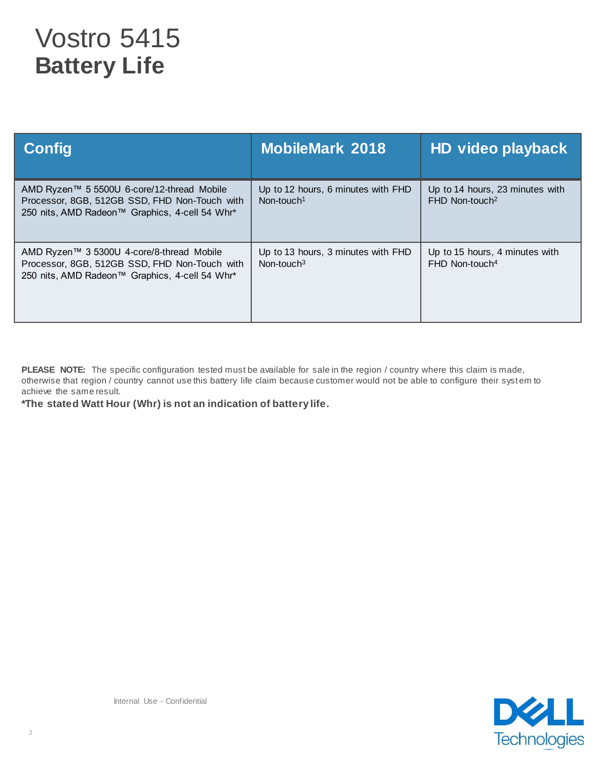## Vostro 5415 **Battery Life**

| <b>Config</b>                                                                                                                                 | <b>MobileMark 2018</b>                                       | HD video playback                                               |
|-----------------------------------------------------------------------------------------------------------------------------------------------|--------------------------------------------------------------|-----------------------------------------------------------------|
| AMD Ryzen™ 5 5500U 6-core/12-thread Mobile<br>Processor, 8GB, 512GB SSD, FHD Non-Touch with<br>250 nits, AMD Radeon™ Graphics, 4-cell 54 Whr* | Up to 12 hours, 6 minutes with FHD<br>Non-touch <sup>1</sup> | Up to 14 hours, 23 minutes with<br>$FHD$ Non-touch <sup>2</sup> |
| AMD Ryzen™ 3 5300U 4-core/8-thread Mobile<br>Processor, 8GB, 512GB SSD, FHD Non-Touch with<br>250 nits, AMD Radeon™ Graphics, 4-cell 54 Whr*  | Up to 13 hours, 3 minutes with FHD<br>Non-touch $3$          | Up to 15 hours, 4 minutes with<br>FHD Non-touch <sup>4</sup>    |

PLEASE NOTE: The specific configuration tested must be available for sale in the region / country where this claim is made, otherwise that region / country cannot use this battery life claim because customer would not be able to configure their system to achieve the same result.

**\*The stated Watt Hour (Whr) is not an indication of battery life.**